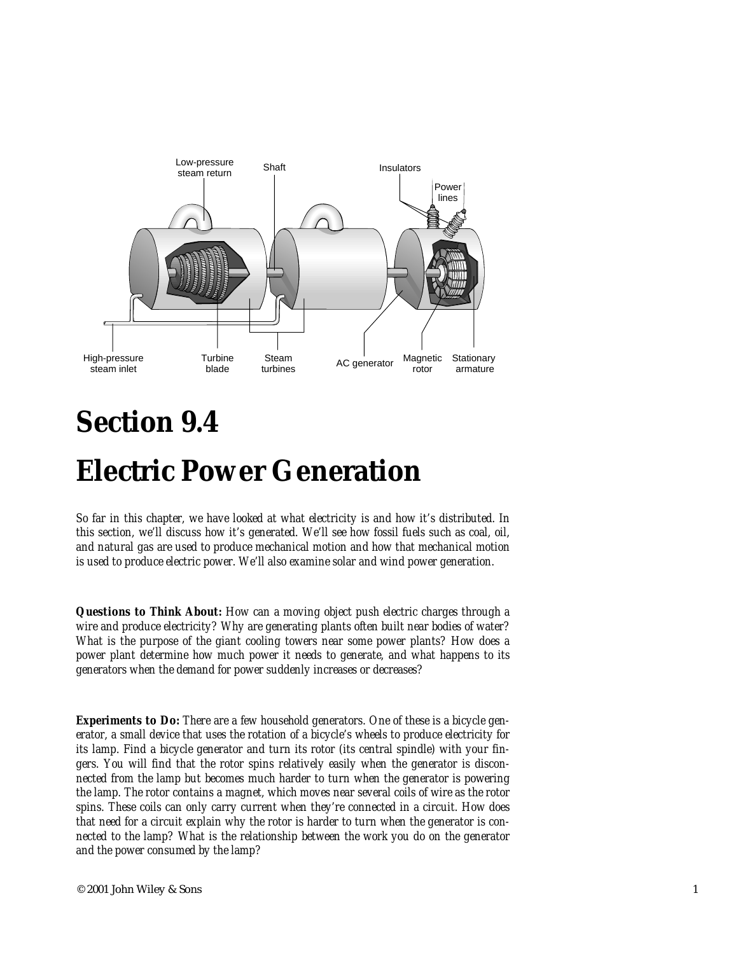

# **Section 9.4**

# **Electric Power Generation**

*So far in this chapter, we have looked at what electricity is and how it's distributed. In this section, we'll discuss how it's generated. We'll see how fossil fuels such as coal, oil, and natural gas are used to produce mechanical motion and how that mechanical motion is used to produce electric power. We'll also examine solar and wind power generation.* 

*Questions to Think About: How can a moving object push electric charges through a wire and produce electricity? Why are generating plants often built near bodies of water? What is the purpose of the giant cooling towers near some power plants? How does a power plant determine how much power it needs to generate, and what happens to its generators when the demand for power suddenly increases or decreases?* 

*Experiments to Do: There are a few household generators. One of these is a bicycle generator, a small device that uses the rotation of a bicycle's wheels to produce electricity for its lamp. Find a bicycle generator and turn its rotor (its central spindle) with your fingers. You will find that the rotor spins relatively easily when the generator is disconnected from the lamp but becomes much harder to turn when the generator is powering the lamp. The rotor contains a magnet, which moves near several coils of wire as the rotor spins. These coils can only carry current when they're connected in a circuit. How does that need for a circuit explain why the rotor is harder to turn when the generator is connected to the lamp? What is the relationship between the work you do on the generator and the power consumed by the lamp?*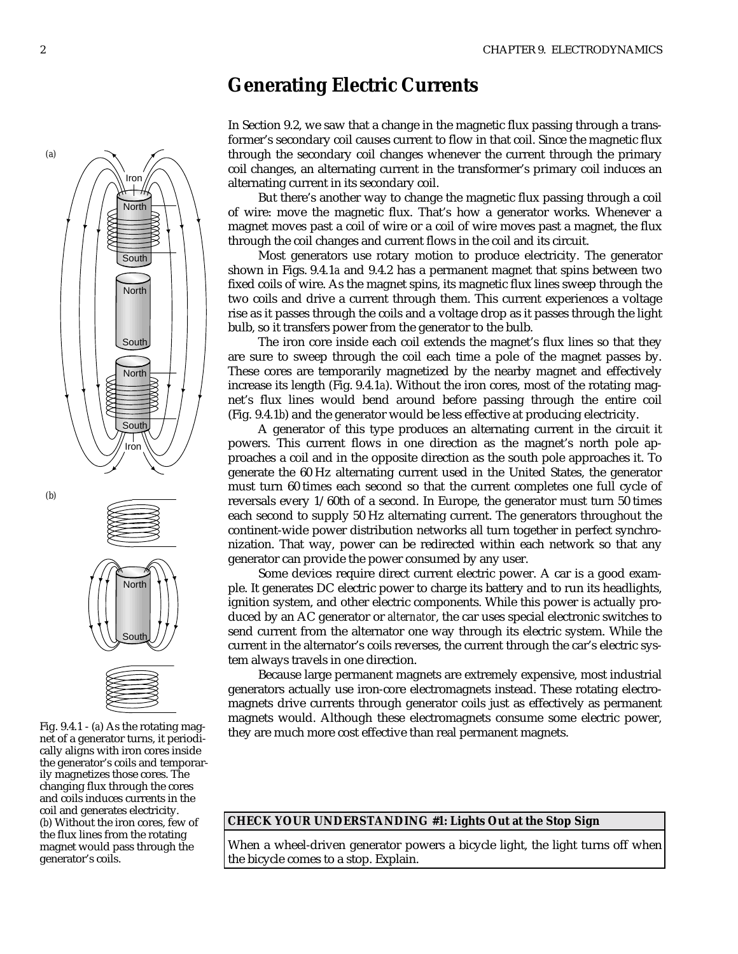## **Generating Electric Currents**

In Section 9.2, we saw that a change in the magnetic flux passing through a transformer's secondary coil causes current to flow in that coil. Since the magnetic flux through the secondary coil changes whenever the current through the primary coil changes, an alternating current in the transformer's primary coil induces an alternating current in its secondary coil.

But there's another way to change the magnetic flux passing through a coil of wire: move the magnetic flux. That's how a generator works. Whenever a magnet moves past a coil of wire or a coil of wire moves past a magnet, the flux through the coil changes and current flows in the coil and its circuit.

Most generators use rotary motion to produce electricity. The generator shown in Figs. 9.4.1*a* and 9.4.2 has a permanent magnet that spins between two fixed coils of wire. As the magnet spins, its magnetic flux lines sweep through the two coils and drive a current through them. This current experiences a voltage rise as it passes through the coils and a voltage drop as it passes through the light bulb, so it transfers power from the generator to the bulb.

The iron core inside each coil extends the magnet's flux lines so that they are sure to sweep through the coil each time a pole of the magnet passes by. These cores are temporarily magnetized by the nearby magnet and effectively increase its length (Fig. 9.4.1*a*). Without the iron cores, most of the rotating magnet's flux lines would bend around before passing through the entire coil (Fig. 9.4.1*b*) and the generator would be less effective at producing electricity.

A generator of this type produces an alternating current in the circuit it powers. This current flows in one direction as the magnet's north pole approaches a coil and in the opposite direction as the south pole approaches it. To generate the 60 Hz alternating current used in the United States, the generator must turn 60 times each second so that the current completes one full cycle of reversals every 1/60th of a second. In Europe, the generator must turn 50 times each second to supply 50 Hz alternating current. The generators throughout the continent-wide power distribution networks all turn together in perfect synchronization. That way, power can be redirected within each network so that any generator can provide the power consumed by any user.

Some devices require direct current electric power. A car is a good example. It generates DC electric power to charge its battery and to run its headlights, ignition system, and other electric components. While this power is actually produced by an AC generator or *alternator*, the car uses special electronic switches to send current from the alternator one way through its electric system. While the current in the alternator's coils reverses, the current through the car's electric system always travels in one direction.

Because large permanent magnets are extremely expensive, most industrial generators actually use iron-core electromagnets instead. These rotating electromagnets drive currents through generator coils just as effectively as permanent magnets would. Although these electromagnets consume some electric power, they are much more cost effective than real permanent magnets.

### **CHECK YOUR UNDERSTANDING #1: Lights Out at the Stop Sign**

When a wheel-driven generator powers a bicycle light, the light turns off when the bicycle comes to a stop. Explain.

Fig. 9.4.1 - (*a*) As the rotating magnet of a generator turns, it periodically aligns with iron cores inside the generator's coils and temporarily magnetizes those cores. The changing flux through the cores and coils induces currents in the coil and generates electricity. (*b*) Without the iron cores, few of the flux lines from the rotating magnet would pass through the generator's coils.

North

**South** 

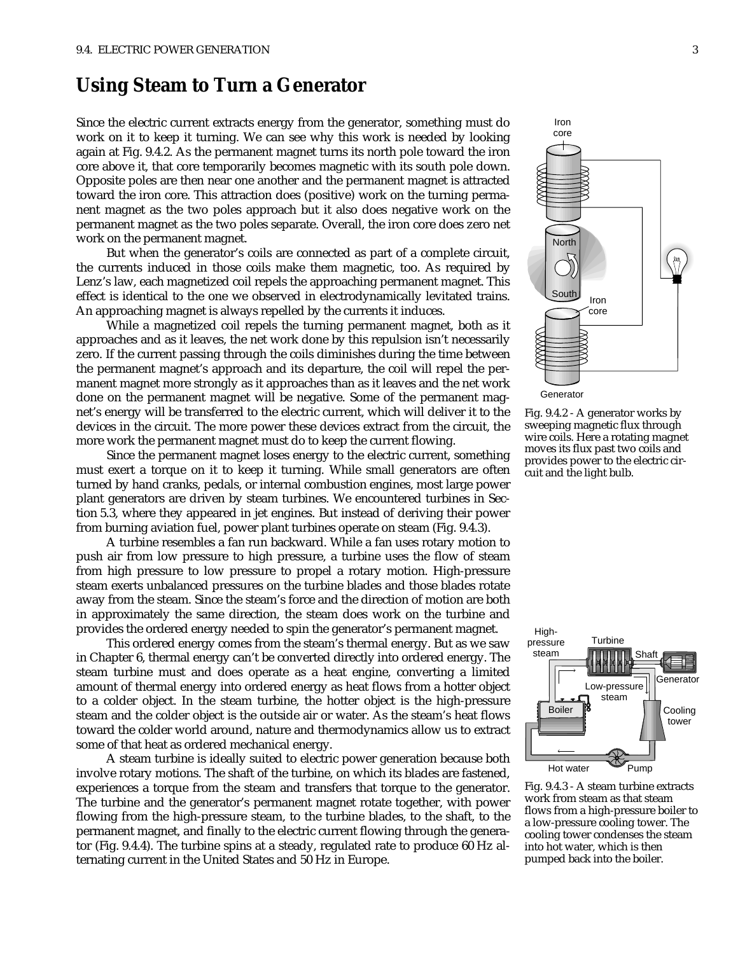### **Using Steam to Turn a Generator**

Since the electric current extracts energy from the generator, something must do work on it to keep it turning. We can see why this work is needed by looking again at Fig. 9.4.2. As the permanent magnet turns its north pole toward the iron core above it, that core temporarily becomes magnetic with its south pole down. Opposite poles are then near one another and the permanent magnet is attracted toward the iron core. This attraction does (positive) work on the turning permanent magnet as the two poles approach but it also does negative work on the permanent magnet as the two poles separate. Overall, the iron core does zero net work on the permanent magnet.

But when the generator's coils are connected as part of a complete circuit, the currents induced in those coils make them magnetic, too. As required by Lenz's law, each magnetized coil repels the approaching permanent magnet. This effect is identical to the one we observed in electrodynamically levitated trains. An approaching magnet is always repelled by the currents it induces.

While a magnetized coil repels the turning permanent magnet, both as it approaches and as it leaves, the net work done by this repulsion isn't necessarily zero. If the current passing through the coils diminishes during the time between the permanent magnet's approach and its departure, the coil will repel the permanent magnet more strongly as it approaches than as it leaves and the net work done on the permanent magnet will be negative. Some of the permanent magnet's energy will be transferred to the electric current, which will deliver it to the devices in the circuit. The more power these devices extract from the circuit, the more work the permanent magnet must do to keep the current flowing.

Since the permanent magnet loses energy to the electric current, something must exert a torque on it to keep it turning. While small generators are often turned by hand cranks, pedals, or internal combustion engines, most large power plant generators are driven by steam turbines. We encountered turbines in Section 5.3, where they appeared in jet engines. But instead of deriving their power from burning aviation fuel, power plant turbines operate on steam (Fig. 9.4.3).

A turbine resembles a fan run backward. While a fan uses rotary motion to push air from low pressure to high pressure, a turbine uses the flow of steam from high pressure to low pressure to propel a rotary motion. High-pressure steam exerts unbalanced pressures on the turbine blades and those blades rotate away from the steam. Since the steam's force and the direction of motion are both in approximately the same direction, the steam does work on the turbine and provides the ordered energy needed to spin the generator's permanent magnet.

This ordered energy comes from the steam's thermal energy. But as we saw in Chapter 6, thermal energy can't be converted directly into ordered energy. The steam turbine must and does operate as a heat engine, converting a limited amount of thermal energy into ordered energy as heat flows from a hotter object to a colder object. In the steam turbine, the hotter object is the high-pressure steam and the colder object is the outside air or water. As the steam's heat flows toward the colder world around, nature and thermodynamics allow us to extract some of that heat as ordered mechanical energy.

A steam turbine is ideally suited to electric power generation because both involve rotary motions. The shaft of the turbine, on which its blades are fastened, experiences a torque from the steam and transfers that torque to the generator. The turbine and the generator's permanent magnet rotate together, with power flowing from the high-pressure steam, to the turbine blades, to the shaft, to the permanent magnet, and finally to the electric current flowing through the generator (Fig. 9.4.4). The turbine spins at a steady, regulated rate to produce 60 Hz alternating current in the United States and 50 Hz in Europe.



Fig. 9.4.2 - A generator works by sweeping magnetic flux through wire coils. Here a rotating magnet moves its flux past two coils and provides power to the electric circuit and the light bulb.



Fig. 9.4.3 - A steam turbine extracts work from steam as that steam flows from a high-pressure boiler to a low-pressure cooling tower. The cooling tower condenses the steam into hot water, which is then pumped back into the boiler.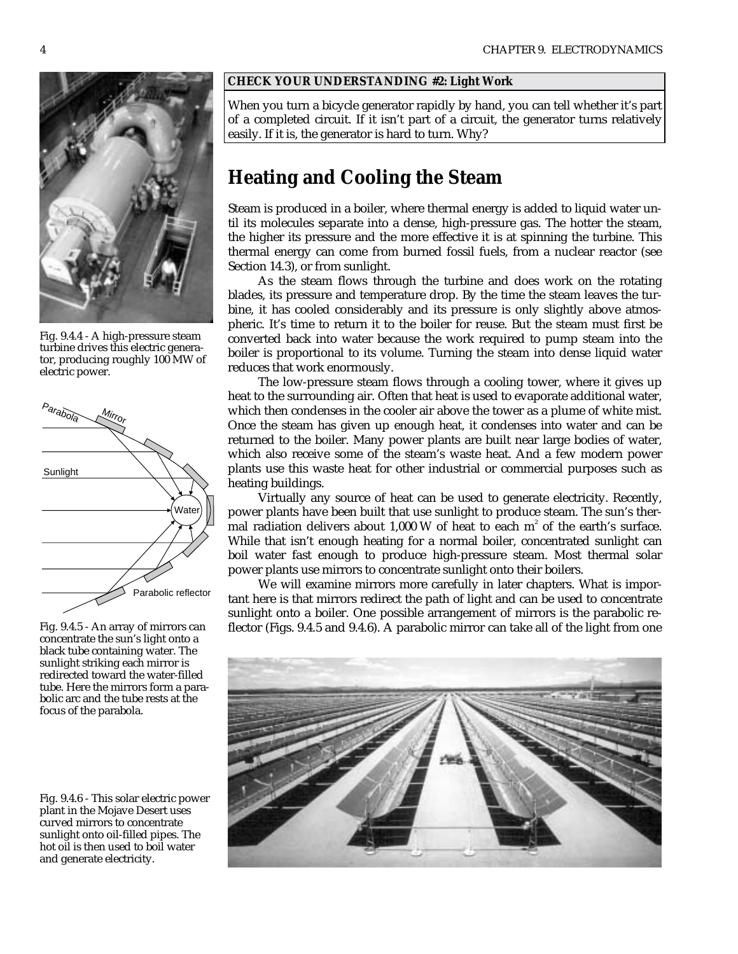

Fig. 9.4.4 - A high-pressure steam turbine drives this electric generator, producing roughly 100 MW of electric power.



Fig. 9.4.5 - An array of mirrors can concentrate the sun's light onto a black tube containing water. The sunlight striking each mirror is redirected toward the water-filled tube. Here the mirrors form a parabolic arc and the tube rests at the focus of the parabola.

Fig. 9.4.6 - This solar electric power plant in the Mojave Desert uses curved mirrors to concentrate sunlight onto oil-filled pipes. The hot oil is then used to boil water and generate electricity.

### **CHECK YOUR UNDERSTANDING #2: Light Work**

When you turn a bicycle generator rapidly by hand, you can tell whether it's part of a completed circuit. If it isn't part of a circuit, the generator turns relatively easily. If it is, the generator is hard to turn. Why?

# **Heating and Cooling the Steam**

Steam is produced in a boiler, where thermal energy is added to liquid water until its molecules separate into a dense, high-pressure gas. The hotter the steam, the higher its pressure and the more effective it is at spinning the turbine. This thermal energy can come from burned fossil fuels, from a nuclear reactor (see Section 14.3), or from sunlight.

As the steam flows through the turbine and does work on the rotating blades, its pressure and temperature drop. By the time the steam leaves the turbine, it has cooled considerably and its pressure is only slightly above atmospheric. It's time to return it to the boiler for reuse. But the steam must first be converted back into water because the work required to pump steam into the boiler is proportional to its volume. Turning the steam into dense liquid water reduces that work enormously.

The low-pressure steam flows through a cooling tower, where it gives up heat to the surrounding air. Often that heat is used to evaporate additional water, which then condenses in the cooler air above the tower as a plume of white mist. Once the steam has given up enough heat, it condenses into water and can be returned to the boiler. Many power plants are built near large bodies of water, which also receive some of the steam's waste heat. And a few modern power plants use this waste heat for other industrial or commercial purposes such as heating buildings.

Virtually any source of heat can be used to generate electricity. Recently, power plants have been built that use sunlight to produce steam. The sun's thermal radiation delivers about 1,000 W of heat to each  $m^2$  of the earth's surface. While that isn't enough heating for a normal boiler, concentrated sunlight can boil water fast enough to produce high-pressure steam. Most thermal solar power plants use mirrors to concentrate sunlight onto their boilers.

We will examine mirrors more carefully in later chapters. What is important here is that mirrors redirect the path of light and can be used to concentrate sunlight onto a boiler. One possible arrangement of mirrors is the parabolic reflector (Figs. 9.4.5 and 9.4.6). A parabolic mirror can take all of the light from one

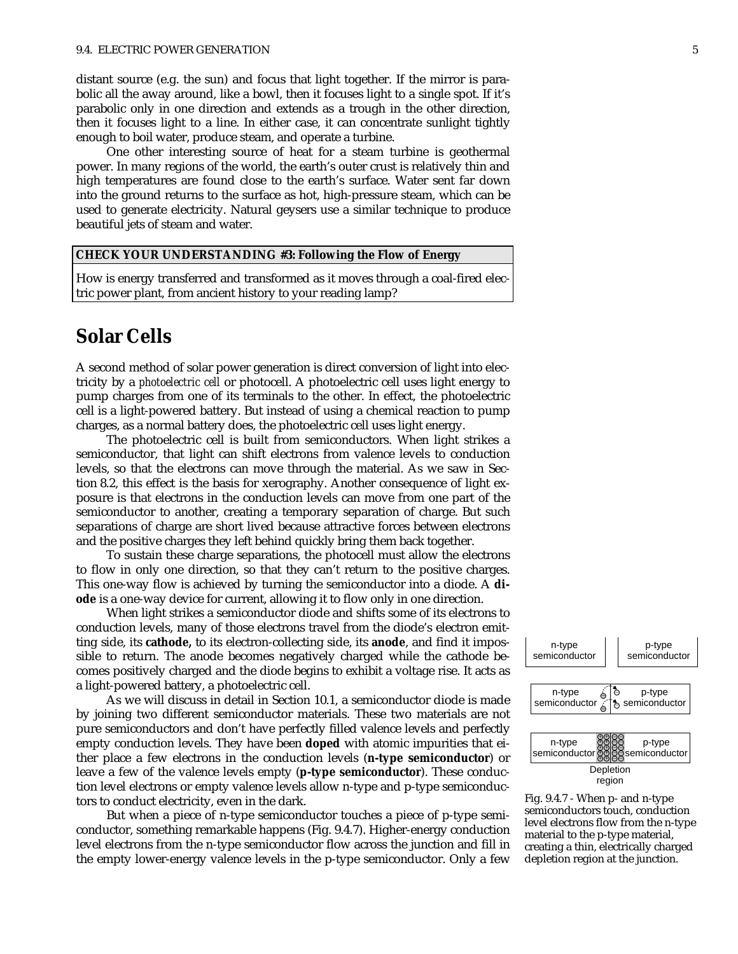distant source (e.g. the sun) and focus that light together. If the mirror is parabolic all the away around, like a bowl, then it focuses light to a single spot. If it's parabolic only in one direction and extends as a trough in the other direction, then it focuses light to a line. In either case, it can concentrate sunlight tightly enough to boil water, produce steam, and operate a turbine.

One other interesting source of heat for a steam turbine is geothermal power. In many regions of the world, the earth's outer crust is relatively thin and high temperatures are found close to the earth's surface. Water sent far down into the ground returns to the surface as hot, high-pressure steam, which can be used to generate electricity. Natural geysers use a similar technique to produce beautiful jets of steam and water.

### **CHECK YOUR UNDERSTANDING #3: Following the Flow of Energy**

How is energy transferred and transformed as it moves through a coal-fired electric power plant, from ancient history to your reading lamp?

# **Solar Cells**

A second method of solar power generation is direct conversion of light into electricity by a *photoelectric cell* or photocell. A photoelectric cell uses light energy to pump charges from one of its terminals to the other. In effect, the photoelectric cell is a light-powered battery. But instead of using a chemical reaction to pump charges, as a normal battery does, the photoelectric cell uses light energy.

The photoelectric cell is built from semiconductors. When light strikes a semiconductor, that light can shift electrons from valence levels to conduction levels, so that the electrons can move through the material. As we saw in Section 8.2, this effect is the basis for xerography. Another consequence of light exposure is that electrons in the conduction levels can move from one part of the semiconductor to another, creating a temporary separation of charge. But such separations of charge are short lived because attractive forces between electrons and the positive charges they left behind quickly bring them back together.

To sustain these charge separations, the photocell must allow the electrons to flow in only one direction, so that they can't return to the positive charges. This one-way flow is achieved by turning the semiconductor into a diode. A **diode** is a one-way device for current, allowing it to flow only in one direction.

When light strikes a semiconductor diode and shifts some of its electrons to conduction levels, many of those electrons travel from the diode's electron emitting side, its **cathode,** to its electron-collecting side, its **anode**, and find it impossible to return. The anode becomes negatively charged while the cathode becomes positively charged and the diode begins to exhibit a voltage rise. It acts as a light-powered battery, a photoelectric cell.

As we will discuss in detail in Section 10.1, a semiconductor diode is made by joining two different semiconductor materials. These two materials are not pure semiconductors and don't have perfectly filled valence levels and perfectly empty conduction levels. They have been **doped** with atomic impurities that either place a few electrons in the conduction levels (**n-type semiconductor**) or leave a few of the valence levels empty (**p-type semiconductor**). These conduction level electrons or empty valence levels allow n-type and p-type semiconductors to conduct electricity, even in the dark.

But when a piece of n-type semiconductor touches a piece of p-type semiconductor, something remarkable happens (Fig. 9.4.7). Higher-energy conduction level electrons from the n-type semiconductor flow across the junction and fill in the empty lower-energy valence levels in the p-type semiconductor. Only a few



Fig. 9.4.7 - When p- and n-type semiconductors touch, conduction level electrons flow from the n-type material to the p-type material, creating a thin, electrically charged depletion region at the junction.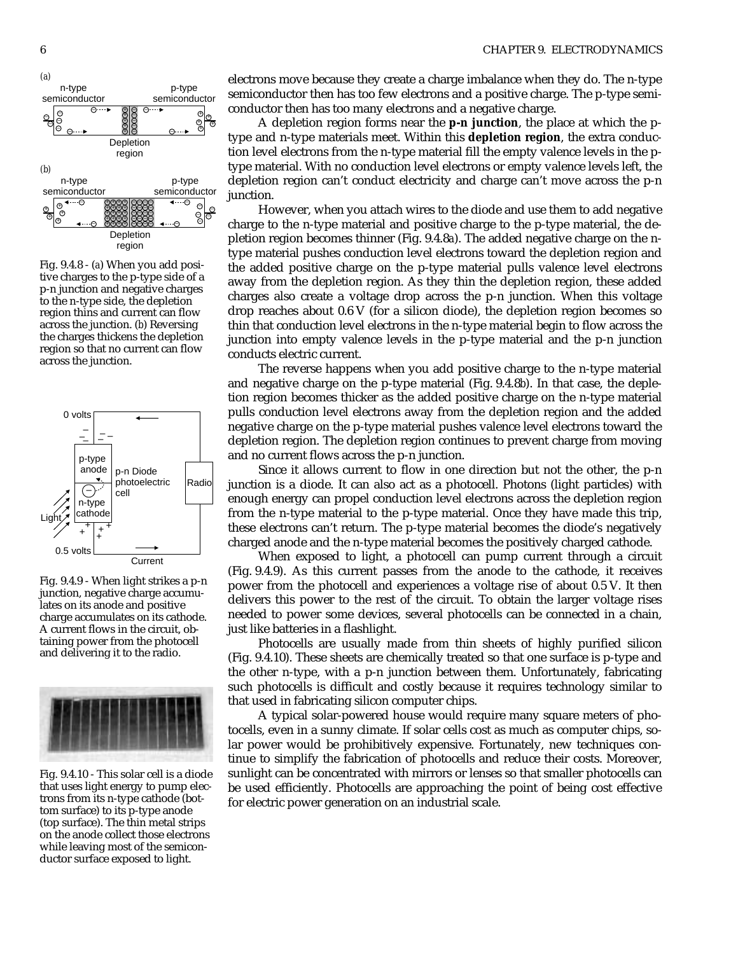

Fig. 9.4.8 - (*a*) When you add positive charges to the p-type side of a p-n junction and negative charges to the n-type side, the depletion region thins and current can flow across the junction. (*b*) Reversing the charges thickens the depletion region so that no current can flow across the junction.



Fig. 9.4.9 - When light strikes a p-n junction, negative charge accumulates on its anode and positive charge accumulates on its cathode. A current flows in the circuit, obtaining power from the photocell and delivering it to the radio.



Fig. 9.4.10 - This solar cell is a diode that uses light energy to pump electrons from its n-type cathode (bottom surface) to its p-type anode (top surface). The thin metal strips on the anode collect those electrons while leaving most of the semiconductor surface exposed to light.

electrons move because they create a charge imbalance when they do. The n-type semiconductor then has too few electrons and a positive charge. The p-type semiconductor then has too many electrons and a negative charge.

A depletion region forms near the **p-n junction**, the place at which the ptype and n-type materials meet. Within this **depletion region**, the extra conduction level electrons from the n-type material fill the empty valence levels in the ptype material. With no conduction level electrons or empty valence levels left, the depletion region can't conduct electricity and charge can't move across the p-n junction.

However, when you attach wires to the diode and use them to add negative charge to the n-type material and positive charge to the p-type material, the depletion region becomes thinner (Fig. 9.4.8*a*). The added negative charge on the ntype material pushes conduction level electrons toward the depletion region and the added positive charge on the p-type material pulls valence level electrons away from the depletion region. As they thin the depletion region, these added charges also create a voltage drop across the p-n junction. When this voltage drop reaches about 0.6 V (for a silicon diode), the depletion region becomes so thin that conduction level electrons in the n-type material begin to flow across the junction into empty valence levels in the p-type material and the p-n junction conducts electric current.

The reverse happens when you add positive charge to the n-type material and negative charge on the p-type material (Fig. 9.4.8*b*). In that case, the depletion region becomes thicker as the added positive charge on the n-type material pulls conduction level electrons away from the depletion region and the added negative charge on the p-type material pushes valence level electrons toward the depletion region. The depletion region continues to prevent charge from moving and no current flows across the p-n junction.

Since it allows current to flow in one direction but not the other, the p-n junction is a diode. It can also act as a photocell. Photons (light particles) with enough energy can propel conduction level electrons across the depletion region from the n-type material to the p-type material. Once they have made this trip, these electrons can't return. The p-type material becomes the diode's negatively charged anode and the n-type material becomes the positively charged cathode.

When exposed to light, a photocell can pump current through a circuit (Fig. 9.4.9). As this current passes from the anode to the cathode, it receives power from the photocell and experiences a voltage rise of about 0.5 V. It then delivers this power to the rest of the circuit. To obtain the larger voltage rises needed to power some devices, several photocells can be connected in a chain, just like batteries in a flashlight.

Photocells are usually made from thin sheets of highly purified silicon (Fig. 9.4.10). These sheets are chemically treated so that one surface is p-type and the other n-type, with a p-n junction between them. Unfortunately, fabricating such photocells is difficult and costly because it requires technology similar to that used in fabricating silicon computer chips.

A typical solar-powered house would require many square meters of photocells, even in a sunny climate. If solar cells cost as much as computer chips, solar power would be prohibitively expensive. Fortunately, new techniques continue to simplify the fabrication of photocells and reduce their costs. Moreover, sunlight can be concentrated with mirrors or lenses so that smaller photocells can be used efficiently. Photocells are approaching the point of being cost effective for electric power generation on an industrial scale.